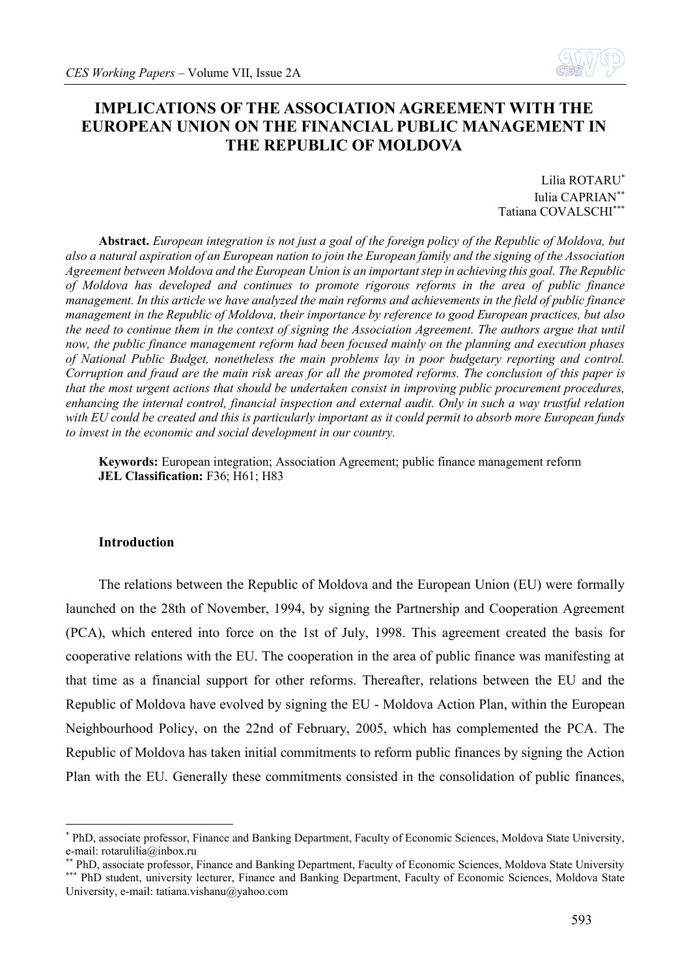

# **IMPLICATIONS OF THE ASSOCIATION AGREEMENT WITH THE EUROPEAN UNION ON THE FINANCIAL PUBLIC MANAGEMENT IN THE REPUBLIC OF MOLDOVA**

Lilia ROTARU\* Iulia CAPRIAN\*\* Tatiana COVALSCHI\*\*\*

**Abstract.** *European integration is not just a goal of the foreign policy of the Republic of Moldova, but also a natural aspiration of an European nation to join the European family and the signing of the Association Agreement between Moldova and the European Union is an important step in achieving this goal. The Republic of Moldova has developed and continues to promote rigorous reforms in the area of public finance management. In this article we have analyzed the main reforms and achievements in the field of public finance management in the Republic of Moldova, their importance by reference to good European practices, but also the need to continue them in the context of signing the Association Agreement. The authors argue that until now, the public finance management reform had been focused mainly on the planning and execution phases of National Public Budget, nonetheless the main problems lay in poor budgetary reporting and control. Corruption and fraud are the main risk areas for all the promoted reforms. The conclusion of this paper is that the most urgent actions that should be undertaken consist in improving public procurement procedures, enhancing the internal control, financial inspection and external audit. Only in such a way trustful relation with EU could be created and this is particularly important as it could permit to absorb more European funds to invest in the economic and social development in our country.* 

**Keywords:** European integration; Association Agreement; public finance management reform **JEL Classification:** F36; H61; H83

## **Introduction**

<u>.</u>

The relations between the Republic of Moldova and the European Union (EU) were formally launched on the 28th of November, 1994, by signing the Partnership and Cooperation Agreement (PCA), which entered into force on the 1st of July, 1998. This agreement created the basis for cooperative relations with the EU. The cooperation in the area of public finance was manifesting at that time as a financial support for other reforms. Thereafter, relations between the EU and the Republic of Moldova have evolved by signing the EU - Moldova Action Plan, within the European Neighbourhood Policy, on the 22nd of February, 2005, which has complemented the PCA. The Republic of Moldova has taken initial commitments to reform public finances by signing the Action Plan with the EU. Generally these commitments consisted in the consolidation of public finances,

<sup>\*</sup> PhD, associate professor, Finance and Banking Department, Faculty of Economic Sciences, Moldova State University, e-mail: [rotarulilia@inbox.ru](mailto:rotarulilia@inbox.ru)

<sup>\*\*</sup> PhD, associate professor, Finance and Banking Department, Faculty of Economic Sciences, Moldova State University \*\*\* PhD student, university lecturer, Finance and Banking Department, Faculty of Economic Sciences, Moldova State University, e-mail[: tatiana.vishanu@yahoo.com](mailto:tatiana.vishanu@yahoo.com)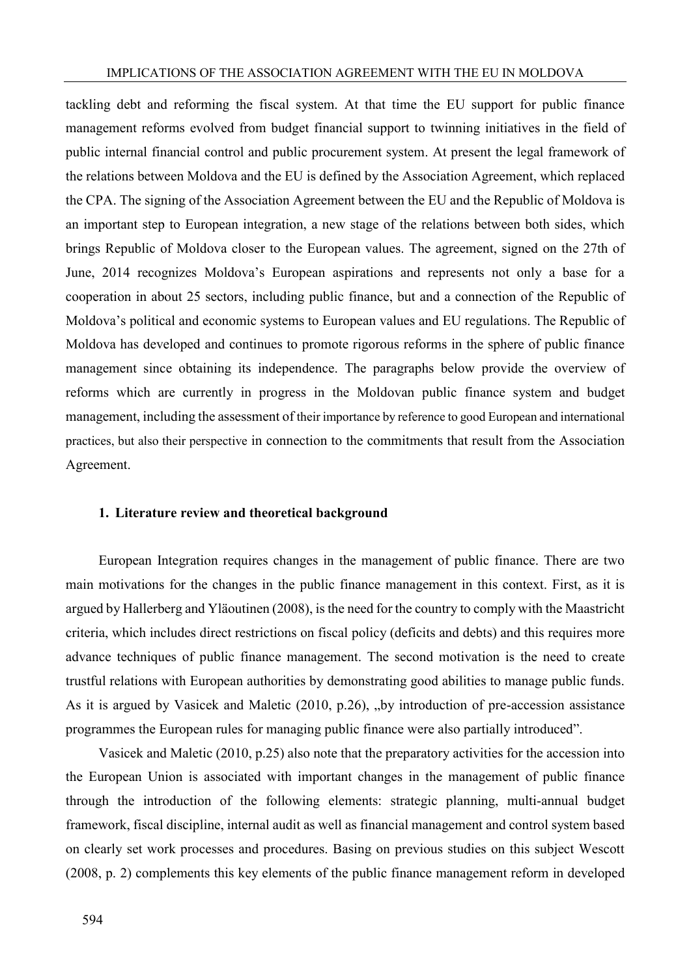tackling debt and reforming the fiscal system. At that time the EU support for public finance management reforms evolved from budget financial support to twinning initiatives in the field of public internal financial control and public procurement system. At present the legal framework of the relations between Moldova and the EU is defined by the Association Agreement, which replaced the CPA. The signing of the Association Agreement between the EU and the Republic of Moldova is an important step to European integration, a new stage of the relations between both sides, which brings Republic of Moldova closer to the European values. The agreement, signed on the 27th of June, 2014 recognizes Moldova's European aspirations and represents not only a base for a cooperation in about 25 sectors, including public finance, but and a connection of the Republic of Moldova's political and economic systems to European values and EU regulations. The Republic of Moldova has developed and continues to promote rigorous reforms in the sphere of public finance management since obtaining its independence. The paragraphs below provide the overview of reforms which are currently in progress in the Moldovan public finance system and budget management, including the assessment of their importance by reference to good European and international practices, but also their perspective in connection to the commitments that result from the Association Agreement.

### **1. Literature review and theoretical background**

European Integration requires changes in the management of public finance. There are two main motivations for the changes in the public finance management in this context. First, as it is argued by Hallerberg and Yläoutinen (2008), is the need for the country to comply with the Maastricht criteria, which includes direct restrictions on fiscal policy (deficits and debts) and this requires more advance techniques of public finance management. The second motivation is the need to create trustful relations with European authorities by demonstrating good abilities to manage public funds. As it is argued by Vasicek and Maletic (2010, p.26), "by introduction of pre-accession assistance programmes the European rules for managing public finance were also partially introduced".

Vasicek and Maletic (2010, p.25) also note that the preparatory activities for the accession into the European Union is associated with important changes in the management of public finance through the introduction of the following elements: strategic planning, multi-annual budget framework, fiscal discipline, internal audit as well as financial management and control system based on clearly set work processes and procedures. Basing on previous studies on this subject Wescott (2008, p. 2) complements this key elements of the public finance management reform in developed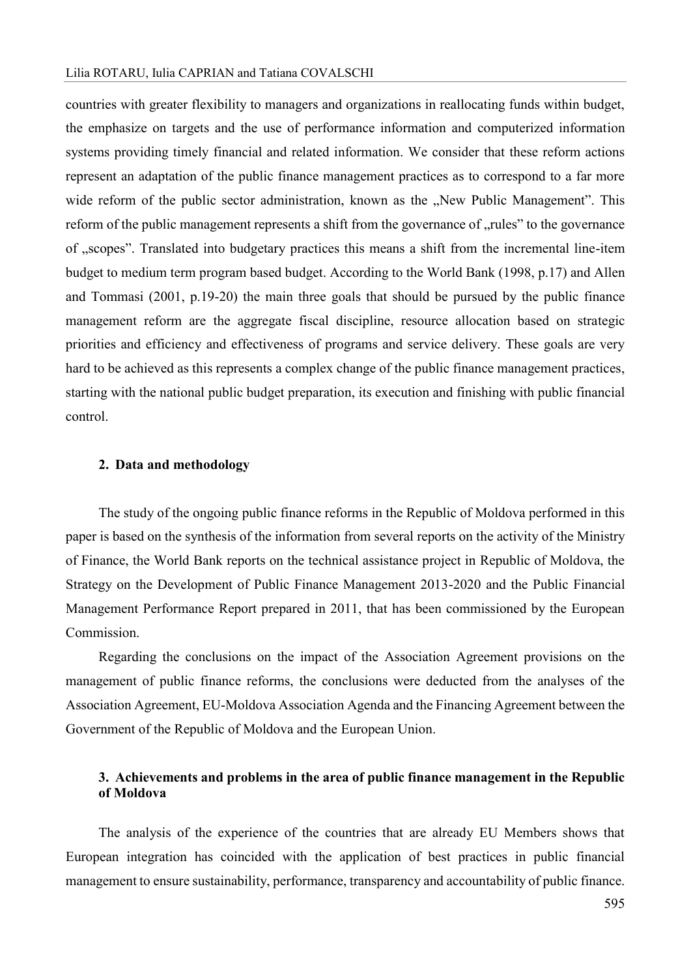#### Lilia ROTARU, Iulia CAPRIAN and Tatiana COVALSCHI

countries with greater flexibility to managers and organizations in reallocating funds within budget, the emphasize on targets and the use of performance information and computerized information systems providing timely financial and related information. We consider that these reform actions represent an adaptation of the public finance management practices as to correspond to a far more wide reform of the public sector administration, known as the "New Public Management". This reform of the public management represents a shift from the governance of "rules" to the governance of "scopes". Translated into budgetary practices this means a shift from the incremental line-item budget to medium term program based budget. According to the World Bank (1998, p.17) and Allen and Tommasi (2001, p.19-20) the main three goals that should be pursued by the public finance management reform are the aggregate fiscal discipline, resource allocation based on strategic priorities and efficiency and effectiveness of programs and service delivery. These goals are very hard to be achieved as this represents a complex change of the public finance management practices, starting with the national public budget preparation, its execution and finishing with public financial control.

#### **2. Data and methodology**

The study of the ongoing public finance reforms in the Republic of Moldova performed in this paper is based on the synthesis of the information from several reports on the activity of the Ministry of Finance, the World Bank reports on the technical assistance project in Republic of Moldova, the Strategy on the Development of Public Finance Management 2013-2020 and the Public Financial Management Performance Report prepared in 2011, that has been commissioned by the European Commission.

Regarding the conclusions on the impact of the Association Agreement provisions on the management of public finance reforms, the conclusions were deducted from the analyses of the Association Agreement, EU-Moldova Association Agenda and the Financing Agreement between the Government of the Republic of Moldova and the European Union.

# **3. Achievements and problems in the area of public finance management in the Republic of Moldova**

The analysis of the experience of the countries that are already EU Members shows that European integration has coincided with the application of best practices in public financial management to ensure sustainability, performance, transparency and accountability of public finance.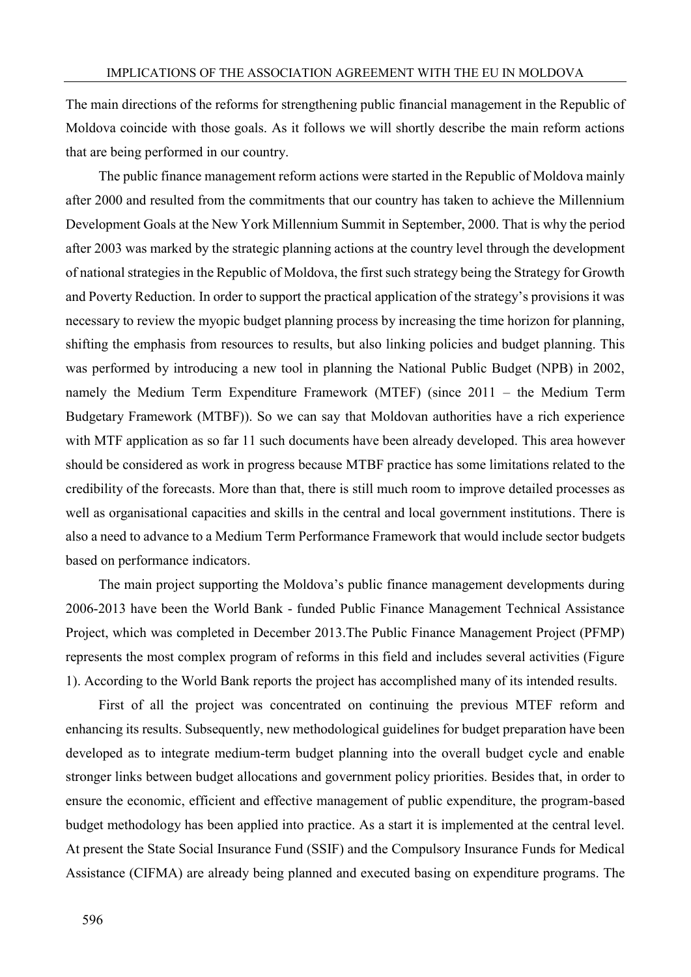The main directions of the reforms for strengthening public financial management in the Republic of Moldova coincide with those goals. As it follows we will shortly describe the main reform actions that are being performed in our country.

The public finance management reform actions were started in the Republic of Moldova mainly after 2000 and resulted from the commitments that our country has taken to achieve the Millennium Development Goals at the New York Millennium Summit in September, 2000. That is why the period after 2003 was marked by the strategic planning actions at the country level through the development of national strategies in the Republic of Moldova, the first such strategy being the Strategy for Growth and Poverty Reduction. In order to support the practical application of the strategy's provisions it was necessary to review the myopic budget planning process by increasing the time horizon for planning, shifting the emphasis from resources to results, but also linking policies and budget planning. This was performed by introducing a new tool in planning the National Public Budget (NPB) in 2002, namely the Medium Term Expenditure Framework (MTEF) (since 2011 – the Medium Term Budgetary Framework (MTBF)). So we can say that Moldovan authorities have a rich experience with MTF application as so far 11 such documents have been already developed. This area however should be considered as work in progress because MTBF practice has some limitations related to the credibility of the forecasts. More than that, there is still much room to improve detailed processes as well as organisational capacities and skills in the central and local government institutions. There is also a need to advance to a Medium Term Performance Framework that would include sector budgets based on performance indicators.

The main project supporting the Moldova's public finance management developments during 2006-2013 have been the World Bank - funded Public Finance Management Technical Assistance Project, which was completed in December 2013.The Public Finance Management Project (PFMP) represents the most complex program of reforms in this field and includes several activities (Figure 1). According to the World Bank reports the project has accomplished many of its intended results.

First of all the project was concentrated on continuing the previous MTEF reform and enhancing its results. Subsequently, new methodological guidelines for budget preparation have been developed as to integrate medium-term budget planning into the overall budget cycle and enable stronger links between budget allocations and government policy priorities. Besides that, in order to ensure the economic, efficient and effective management of public expenditure, the program-based budget methodology has been applied into practice. As a start it is implemented at the central level. At present the State Social Insurance Fund (SSIF) and the Compulsory Insurance Funds for Medical Assistance (CIFMA) are already being planned and executed basing on expenditure programs. The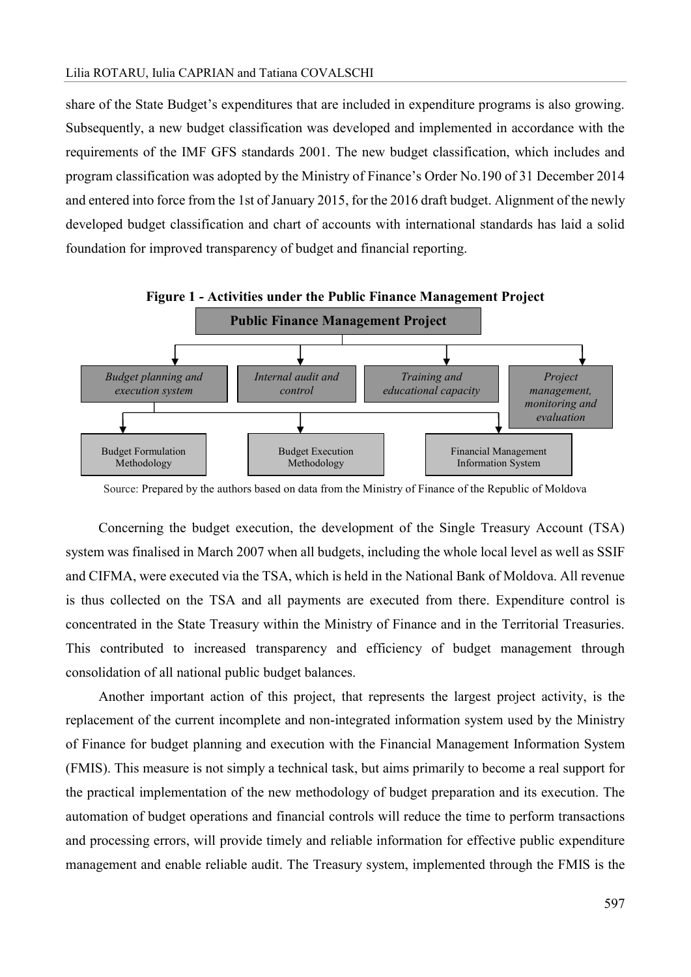share of the State Budget's expenditures that are included in expenditure programs is also growing. Subsequently, a new budget classification was developed and implemented in accordance with the requirements of the IMF GFS standards 2001. The new budget classification, which includes and program classification was adopted by the Ministry of Finance's Order No.190 of 31 December 2014 and entered into force from the 1st of January 2015, for the 2016 draft budget. Alignment of the newly developed budget classification and chart of accounts with international standards has laid a solid foundation for improved transparency of budget and financial reporting.



Source: Prepared by the authors based on data from the Ministry of Finance of the Republic of Moldova

Concerning the budget execution, the development of the Single Treasury Account (TSA) system was finalised in March 2007 when all budgets, including the whole local level as well as SSIF and CIFMA, were executed via the TSA, which is held in the National Bank of Moldova. All revenue is thus collected on the TSA and all payments are executed from there. Expenditure control is concentrated in the State Treasury within the Ministry of Finance and in the Territorial Treasuries. This contributed to increased transparency and efficiency of budget management through consolidation of all national public budget balances.

Another important action of this project, that represents the largest project activity, is the replacement of the current incomplete and non-integrated information system used by the Ministry of Finance for budget planning and execution with the Financial Management Information System (FMIS). This measure is not simply a technical task, but aims primarily to become a real support for the practical implementation of the new methodology of budget preparation and its execution. The automation of budget operations and financial controls will reduce the time to perform transactions and processing errors, will provide timely and reliable information for effective public expenditure management and enable reliable audit. The Treasury system, implemented through the FMIS is the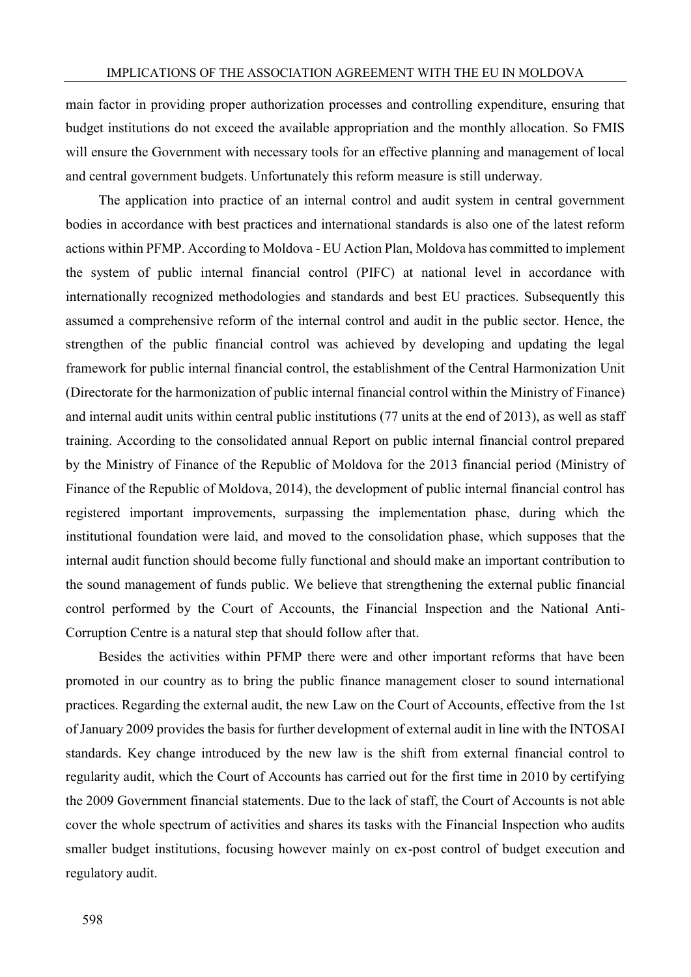main factor in providing proper authorization processes and controlling expenditure, ensuring that budget institutions do not exceed the available appropriation and the monthly allocation. So FMIS will ensure the Government with necessary tools for an effective planning and management of local and central government budgets. Unfortunately this reform measure is still underway.

The application into practice of an internal control and audit system in central government bodies in accordance with best practices and international standards is also one of the latest reform actions within PFMP. According to Moldova - EU Action Plan, Moldova has committed to implement the system of public internal financial control (PIFC) at national level in accordance with internationally recognized methodologies and standards and best EU practices. Subsequently this assumed a comprehensive reform of the internal control and audit in the public sector. Hence, the strengthen of the public financial control was achieved by developing and updating the legal framework for public internal financial control, the establishment of the Central Harmonization Unit (Directorate for the harmonization of public internal financial control within the Ministry of Finance) and internal audit units within central public institutions (77 units at the end of 2013), as well as staff training. According to the consolidated annual Report on public internal financial control prepared by the Ministry of Finance of the Republic of Moldova for the 2013 financial period (Ministry of Finance of the Republic of Moldova, 2014), the development of public internal financial control has registered important improvements, surpassing the implementation phase, during which the institutional foundation were laid, and moved to the consolidation phase, which supposes that the internal audit function should become fully functional and should make an important contribution to the sound management of funds public. We believe that strengthening the external public financial control performed by the Court of Accounts, the Financial Inspection and the National Anti-Corruption Centre is a natural step that should follow after that.

Besides the activities within PFMP there were and other important reforms that have been promoted in our country as to bring the public finance management closer to sound international practices. Regarding the external audit, the new Law on the Court of Accounts, effective from the 1st of January 2009 provides the basis for further development of external audit in line with the INTOSAI standards. Key change introduced by the new law is the shift from external financial control to regularity audit, which the Court of Accounts has carried out for the first time in 2010 by certifying the 2009 Government financial statements. Due to the lack of staff, the Court of Accounts is not able cover the whole spectrum of activities and shares its tasks with the Financial Inspection who audits smaller budget institutions, focusing however mainly on ex-post control of budget execution and regulatory audit.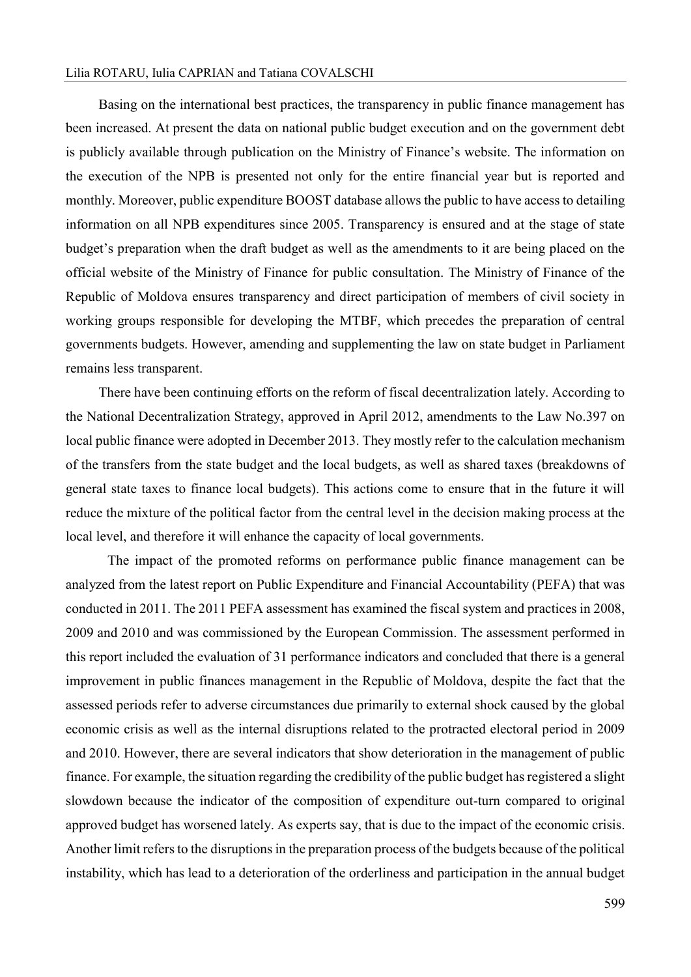#### Lilia ROTARU, Iulia CAPRIAN and Tatiana COVALSCHI

Basing on the international best practices, the transparency in public finance management has been increased. At present the data on national public budget execution and on the government debt is publicly available through publication on the Ministry of Finance's website. The information on the execution of the NPB is presented not only for the entire financial year but is reported and monthly. Moreover, public expenditure BOOST database allows the public to have access to detailing information on all NPB expenditures since 2005. Transparency is ensured and at the stage of state budget's preparation when the draft budget as well as the amendments to it are being placed on the official website of the Ministry of Finance for public consultation. The Ministry of Finance of the Republic of Moldova ensures transparency and direct participation of members of civil society in working groups responsible for developing the MTBF, which precedes the preparation of central governments budgets. However, amending and supplementing the law on state budget in Parliament remains less transparent.

There have been continuing efforts on the reform of fiscal decentralization lately. According to the National Decentralization Strategy, approved in April 2012, amendments to the Law No.397 on local public finance were adopted in December 2013. They mostly refer to the calculation mechanism of the transfers from the state budget and the local budgets, as well as shared taxes (breakdowns of general state taxes to finance local budgets). This actions come to ensure that in the future it will reduce the mixture of the political factor from the central level in the decision making process at the local level, and therefore it will enhance the capacity of local governments.

The impact of the promoted reforms on performance public finance management can be analyzed from the latest report on Public Expenditure and Financial Accountability (PEFA) that was conducted in 2011. The 2011 PEFA assessment has examined the fiscal system and practices in 2008, 2009 and 2010 and was commissioned by the European Commission. The assessment performed in this report included the evaluation of 31 performance indicators and concluded that there is a general improvement in public finances management in the Republic of Moldova, despite the fact that the assessed periods refer to adverse circumstances due primarily to external shock caused by the global economic crisis as well as the internal disruptions related to the protracted electoral period in 2009 and 2010. However, there are several indicators that show deterioration in the management of public finance. For example, the situation regarding the credibility of the public budget has registered a slight slowdown because the indicator of the composition of expenditure out-turn compared to original approved budget has worsened lately. As experts say, that is due to the impact of the economic crisis. Another limit refers to the disruptions in the preparation process of the budgets because of the political instability, which has lead to a deterioration of the orderliness and participation in the annual budget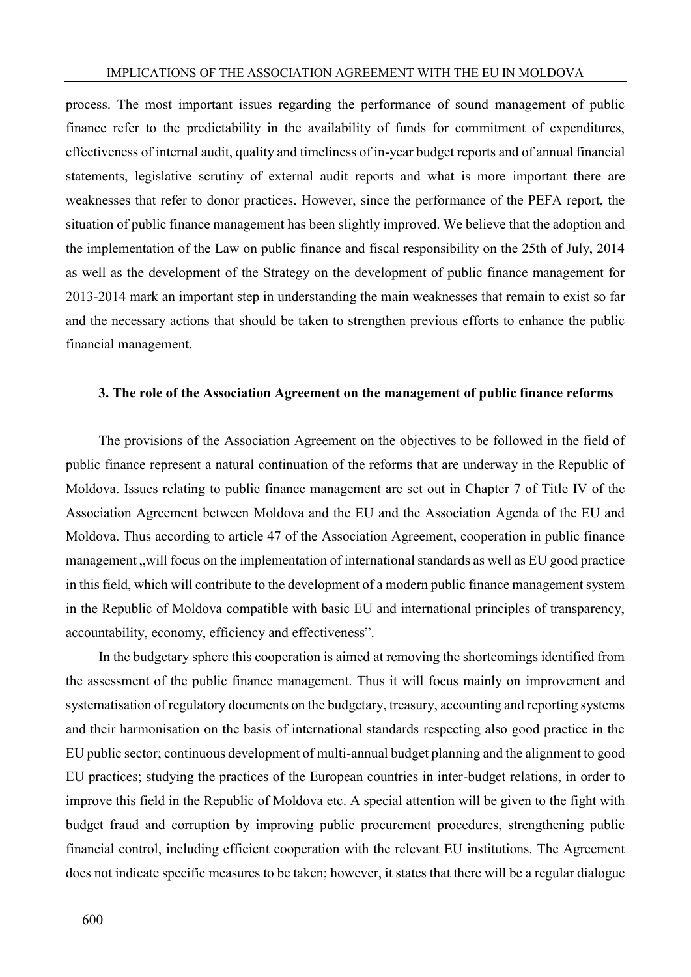process. The most important issues regarding the performance of sound management of public finance refer to the predictability in the availability of funds for commitment of expenditures, effectiveness of internal audit, quality and timeliness of in-year budget reports and of annual financial statements, legislative scrutiny of external audit reports and what is more important there are weaknesses that refer to donor practices. However, since the performance of the PEFA report, the situation of public finance management has been slightly improved. We believe that the adoption and the implementation of the Law on public finance and fiscal responsibility on the 25th of July, 2014 as well as the development of the Strategy on the development of public finance management for 2013-2014 mark an important step in understanding the main weaknesses that remain to exist so far and the necessary actions that should be taken to strengthen previous efforts to enhance the public financial management.

#### **3. The role of the Association Agreement on the management of public finance reforms**

The provisions of the Association Agreement on the objectives to be followed in the field of public finance represent a natural continuation of the reforms that are underway in the Republic of Moldova. Issues relating to public finance management are set out in Chapter 7 of Title IV of the Association Agreement between Moldova and the EU and the Association Agenda of the EU and Moldova. Thus according to article 47 of the Association Agreement, cooperation in public finance management, will focus on the implementation of international standards as well as EU good practice in this field, which will contribute to the development of a modern public finance management system in the Republic of Moldova compatible with basic EU and international principles of transparency, accountability, economy, efficiency and effectiveness".

In the budgetary sphere this cooperation is aimed at removing the shortcomings identified from the assessment of the public finance management. Thus it will focus mainly on improvement and systematisation of regulatory documents on the budgetary, treasury, accounting and reporting systems and their harmonisation on the basis of international standards respecting also good practice in the EU public sector; continuous development of multi-annual budget planning and the alignment to good EU practices; studying the practices of the European countries in inter-budget relations, in order to improve this field in the Republic of Moldova etc. A special attention will be given to the fight with budget fraud and corruption by improving public procurement procedures, strengthening public financial control, including efficient cooperation with the relevant EU institutions. The Agreement does not indicate specific measures to be taken; however, it states that there will be a regular dialogue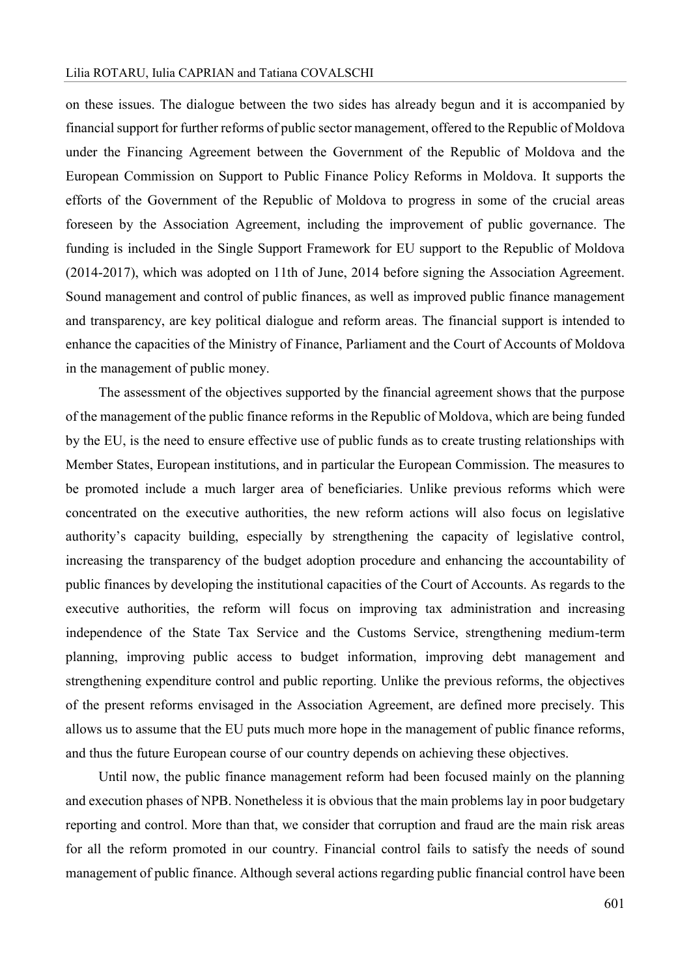#### Lilia ROTARU, Iulia CAPRIAN and Tatiana COVALSCHI

on these issues. The dialogue between the two sides has already begun and it is accompanied by financial support for further reforms of public sector management, offered to the Republic of Moldova under the Financing Agreement between the Government of the Republic of Moldova and the European Commission on Support to Public Finance Policy Reforms in Moldova. It supports the efforts of the Government of the Republic of Moldova to progress in some of the crucial areas foreseen by the Association Agreement, including the improvement of public governance. The funding is included in the Single Support Framework for EU support to the Republic of Moldova (2014-2017), which was adopted on 11th of June, 2014 before signing the Association Agreement. Sound management and control of public finances, as well as improved public finance management and transparency, are key political dialogue and reform areas. The financial support is intended to enhance the capacities of the Ministry of Finance, Parliament and the Court of Accounts of Moldova in the management of public money.

The assessment of the objectives supported by the financial agreement shows that the purpose of the management of the public finance reforms in the Republic of Moldova, which are being funded by the EU, is the need to ensure effective use of public funds as to create trusting relationships with Member States, European institutions, and in particular the European Commission. The measures to be promoted include a much larger area of beneficiaries. Unlike previous reforms which were concentrated on the executive authorities, the new reform actions will also focus on legislative authority's capacity building, especially by strengthening the capacity of legislative control, increasing the transparency of the budget adoption procedure and enhancing the accountability of public finances by developing the institutional capacities of the Court of Accounts. As regards to the executive authorities, the reform will focus on improving tax administration and increasing independence of the State Tax Service and the Customs Service, strengthening medium-term planning, improving public access to budget information, improving debt management and strengthening expenditure control and public reporting. Unlike the previous reforms, the objectives of the present reforms envisaged in the Association Agreement, are defined more precisely. This allows us to assume that the EU puts much more hope in the management of public finance reforms, and thus the future European course of our country depends on achieving these objectives.

Until now, the public finance management reform had been focused mainly on the planning and execution phases of NPB. Nonetheless it is obvious that the main problems lay in poor budgetary reporting and control. More than that, we consider that corruption and fraud are the main risk areas for all the reform promoted in our country. Financial control fails to satisfy the needs of sound management of public finance. Although several actions regarding public financial control have been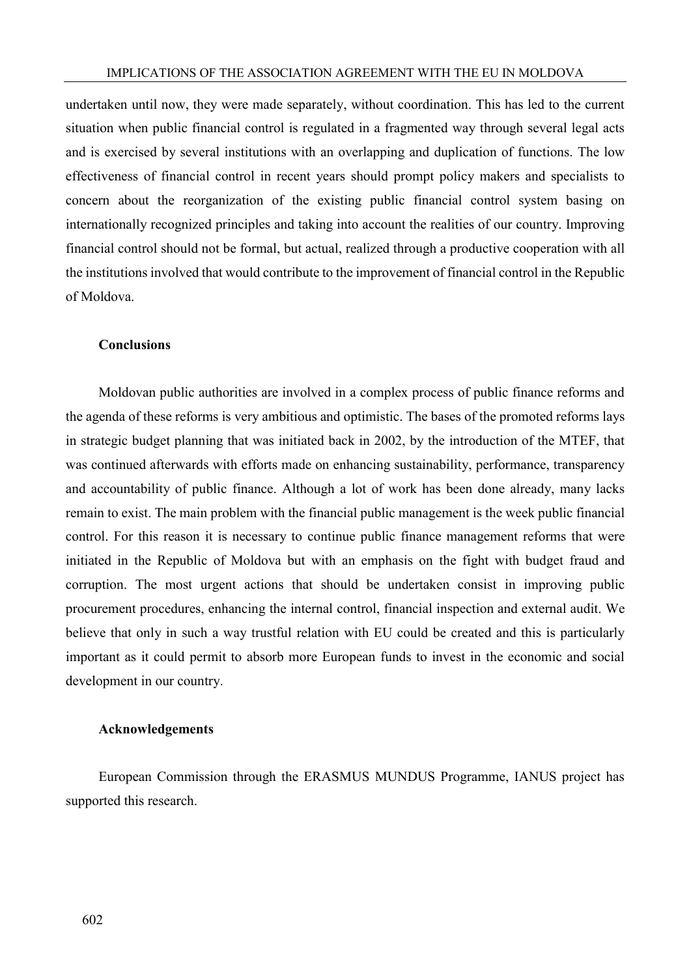undertaken until now, they were made separately, without coordination. This has led to the current situation when public financial control is regulated in a fragmented way through several legal acts and is exercised by several institutions with an overlapping and duplication of functions. The low effectiveness of financial control in recent years should prompt policy makers and specialists to concern about the reorganization of the existing public financial control system basing on internationally recognized principles and taking into account the realities of our country. Improving financial control should not be formal, but actual, realized through a productive cooperation with all the institutions involved that would contribute to the improvement of financial control in the Republic of Moldova.

#### **Conclusions**

Moldovan public authorities are involved in a complex process of public finance reforms and the agenda of these reforms is very ambitious and optimistic. The bases of the promoted reforms lays in strategic budget planning that was initiated back in 2002, by the introduction of the MTEF, that was continued afterwards with efforts made on enhancing sustainability, performance, transparency and accountability of public finance. Although a lot of work has been done already, many lacks remain to exist. The main problem with the financial public management is the week public financial control. For this reason it is necessary to continue public finance management reforms that were initiated in the Republic of Moldova but with an emphasis on the fight with budget fraud and corruption. The most urgent actions that should be undertaken consist in improving public procurement procedures, enhancing the internal control, financial inspection and external audit. We believe that only in such a way trustful relation with EU could be created and this is particularly important as it could permit to absorb more European funds to invest in the economic and social development in our country.

### **Acknowledgements**

European Commission through the ERASMUS MUNDUS Programme, IANUS project has supported this research.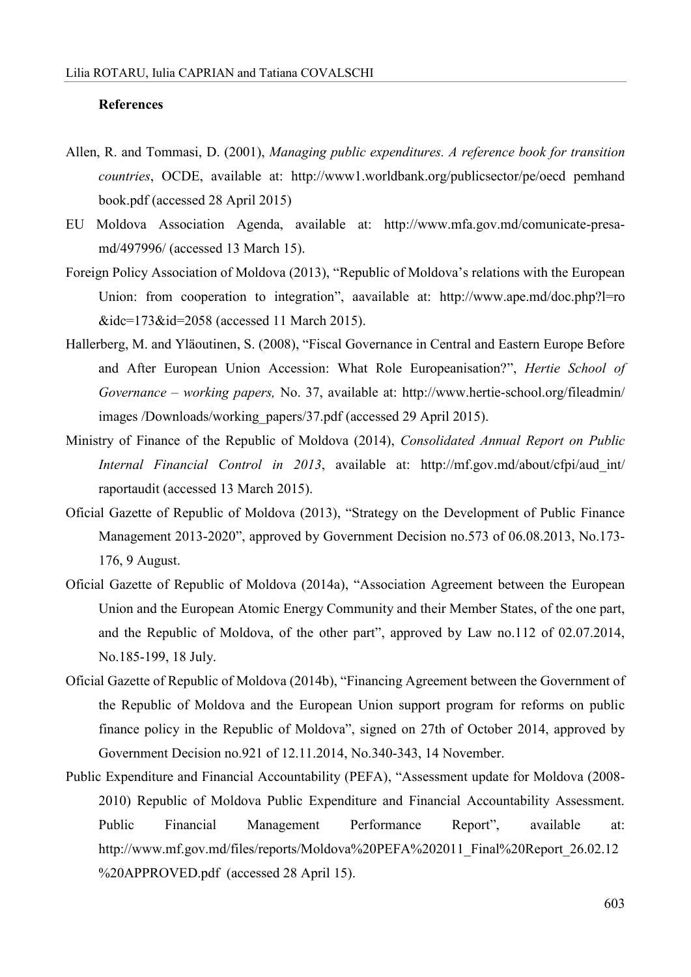#### **References**

- Allen, R. and Tommasi, D. (2001), *Managing public expenditures. A reference book for transition countries*, OCDE, available at: [http://www1.worldbank.org/publicsector/pe/oecd pemhand](http://www1.worldbank.org/publicsector/pe/oecd%20pemhandbook.pdf) [book.pdf](http://www1.worldbank.org/publicsector/pe/oecd%20pemhandbook.pdf) (accessed 28 April 2015)
- EU Moldova Association Agenda, available at: [http://www.mfa.gov.md/comunicate-presa](http://www.mfa.gov.md/comunicate-presa-md/497996/)[md/497996/](http://www.mfa.gov.md/comunicate-presa-md/497996/) (accessed 13 March 15).
- Foreign Policy Association of Moldova (2013), "Republic of Moldova's relations with the European Union: from cooperation to integration", aavailable at: [http://www.ape.md/doc.php?l=ro](http://www.ape.md/doc.php?l=ro%20&idc=173&id=2058)  [&idc=173&id=2058](http://www.ape.md/doc.php?l=ro%20&idc=173&id=2058) (accessed 11 March 2015).
- Hallerberg, M. and Yläoutinen, S. (2008), "Fiscal Governance in Central and Eastern Europe Before and After European Union Accession: What Role Europeanisation?", *Hertie School of Governance – working papers,* No. 37, available at: [http://www.hertie-school.org/fileadmin/](http://www.hertieschool.org/fileadmin/%20images%20/Downloads/working_papers/37.pdf)  [images /Downloads/working\\_papers/37.pdf](http://www.hertieschool.org/fileadmin/%20images%20/Downloads/working_papers/37.pdf) (accessed 29 April 2015).
- Ministry of Finance of the Republic of Moldova (2014), *Consolidated Annual Report on Public Internal Financial Control in 2013*, available at: [http://mf.gov.md/about/cfpi/aud\\_int/](http://mf.gov.md/about/cfpi/audint/%20raportaudit)  [raportaudit](http://mf.gov.md/about/cfpi/audint/%20raportaudit) (accessed 13 March 2015).
- Oficial Gazette of Republic of Moldova (2013), "Strategy on the Development of Public Finance Management 2013-2020", approved by Government Decision no.573 of 06.08.2013, No.173- 176, 9 August.
- Oficial Gazette of Republic of Moldova (2014a), "Association Agreement between the European Union and the European Atomic Energy Community and their Member States, of the one part, and the Republic of Moldova, of the other part", approved by Law no.112 of 02.07.2014, No.185-199, 18 July.
- Oficial Gazette of Republic of Moldova (2014b), "Financing Agreement between the Government of the Republic of Moldova and the European Union support program for reforms on public finance policy in the Republic of Moldova", signed on 27th of October 2014, approved by Government Decision no.921 of 12.11.2014, No.340-343, 14 November.
- Public Expenditure and Financial Accountability (PEFA), "Assessment update for Moldova (2008- 2010) Republic of Moldova Public Expenditure and Financial Accountability Assessment. Public Financial Management Performance Report", available at: [http://www.mf.gov.md/files/reports/Moldova%20PEFA%202011\\_Final%20Report\\_26.02.12](http://www.mf.gov.md/files/reports/Moldova%20PEFA%202011_Final%20Report_26.02.12%20APPROVED.pdf) [%20APPROVED.pdf](http://www.mf.gov.md/files/reports/Moldova%20PEFA%202011_Final%20Report_26.02.12%20APPROVED.pdf) (accessed 28 April 15).